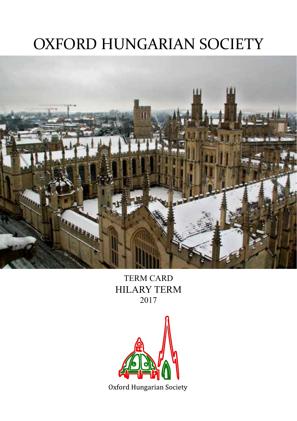# OXFORD HUNGARIAN SOCIETY



TERM CARD HILARY TERM 2017

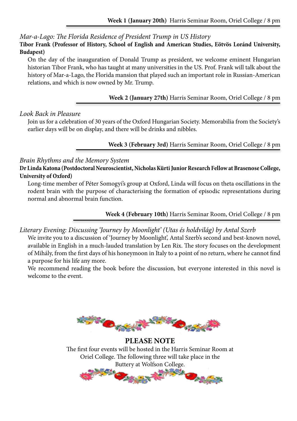*Mar-a-Lago: The Florida Residence of President Trump in US History*

**Tibor Frank (Professor of History, School of English and American Studies, Eötvös Loránd University, Budapest)**

On the day of the inauguration of Donald Trump as president, we welcome eminent Hungarian historian Tibor Frank, who has taught at many universities in the US. Prof. Frank will talk about the history of Mar-a-Lago, the Florida mansion that played such an important role in Russian-American relations, and which is now owned by Mr. Trump.

## **Week 2 (January 27th)** Harris Seminar Room, Oriel College / 8 pm

## *Look Back in Pleasure*

Join us for a celebration of 30 years of the Oxford Hungarian Society. Memorabilia from the Society's earlier days will be on display, and there will be drinks and nibbles.

### **Week 3 (February 3rd)** Harris Seminar Room, Oriel College / 8 pm

## *Brain Rhythms and the Memory System*

**Dr Linda Katona (Postdoctoral Neuroscientist, Nicholas Kürti Junior Research Fellow at Brasenose College, University of Oxford)**

Long-time member of Péter Somogyi's group at Oxford, Linda will focus on theta oscillations in the rodent brain with the purpose of characterising the formation of episodic representations during normal and abnormal brain function.

**Week 4 (February 10th)** Harris Seminar Room, Oriel College / 8 pm

## *Literary Evening: Discussing 'Journey by Moonlight' (Utas és holdvilág) by Antal Szerb*

We invite you to a discussion of 'Journey by Moonlight', Antal Szerb's second and best-known novel, available in English in a much-lauded translation by Len Rix. The story focuses on the development of Mihály, from the first days of his honeymoon in Italy to a point of no return, where he cannot find a purpose for his life any more.

We recommend reading the book before the discussion, but everyone interested in this novel is welcome to the event.



**PLEASE NOTE** The first four events will be hosted in the Harris Seminar Room at Oriel College. The following three will take place in the Buttery at Wolfson College.

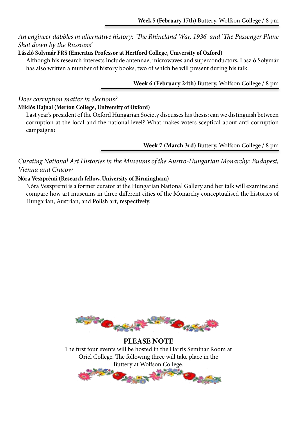## *An engineer dabbles in alternative history: 'The Rhineland War, 1936' and 'The Passenger Plane Shot down by the Russians'*

## **László Solymár FRS (Emeritus Professor at Hertford College, University of Oxford)**

Although his research interests include antennae, microwaves and superconductors, László Solymár has also written a number of history books, two of which he will present during his talk.

#### **Week 6 (February 24th)** Buttery, Wolfson College / 8 pm

### *Does corruption matter in elections?* **Miklós Hajnal (Merton College, University of Oxford)**

Last year's president of the Oxford Hungarian Society discusses his thesis: can we distinguish between corruption at the local and the national level? What makes voters sceptical about anti-corruption campaigns?

**Week 7 (March 3rd)** Buttery, Wolfson College / 8 pm

*Curating National Art Histories in the Museums of the Austro-Hungarian Monarchy: Budapest, Vienna and Cracow*

## **Nóra Veszprémi (Research fellow, University of Birmingham)**

Nóra Veszprémi is a former curator at the Hungarian National Gallery and her talk will examine and compare how art museums in three different cities of the Monarchy conceptualised the histories of Hungarian, Austrian, and Polish art, respectively.



**PLEASE NOTE** The first four events will be hosted in the Harris Seminar Room at Oriel College. The following three will take place in the Buttery at Wolfson College.